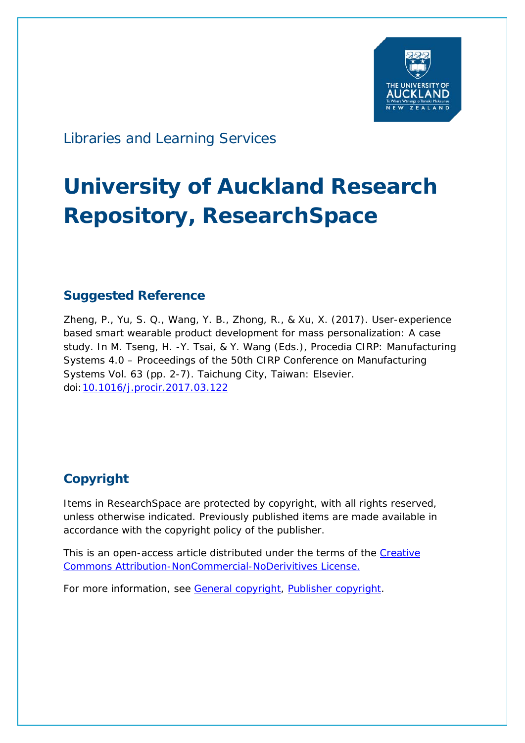

Libraries and Learning Services

# **University of Auckland Research Repository, ResearchSpace**

# **Suggested Reference**

Zheng, P., Yu, S. Q., Wang, Y. B., Zhong, R., & Xu, X. (2017). User-experience based smart wearable product development for mass personalization: A case study. In M. Tseng, H. -Y. Tsai, & Y. Wang (Eds.), *Procedia CIRP: Manufacturing Systems 4.0 – Proceedings of the 50th CIRP Conference on Manufacturing Systems* Vol. 63 (pp. 2-7). Taichung City, Taiwan: Elsevier. doi[:10.1016/j.procir.2017.03.122](http://dx.doi.org/10.1016/j.procir.2017.03.122)

# **Copyright**

Items in ResearchSpace are protected by copyright, with all rights reserved, unless otherwise indicated. Previously published items are made available in accordance with the copyright policy of the publisher.

This is an open-access article distributed under the terms of the Creative [Commons Attribution-NonCommercial-NoDerivitives License.](https://creativecommons.org/licenses/by-nc-nd/4.0/)

For more information, see [General copyright,](http://www.library.auckland.ac.nz/services/research-support/depositing-theses/copyright) [Publisher copyright.](https://www.elsevier.com/about/our-business/policies/open-access-licenses)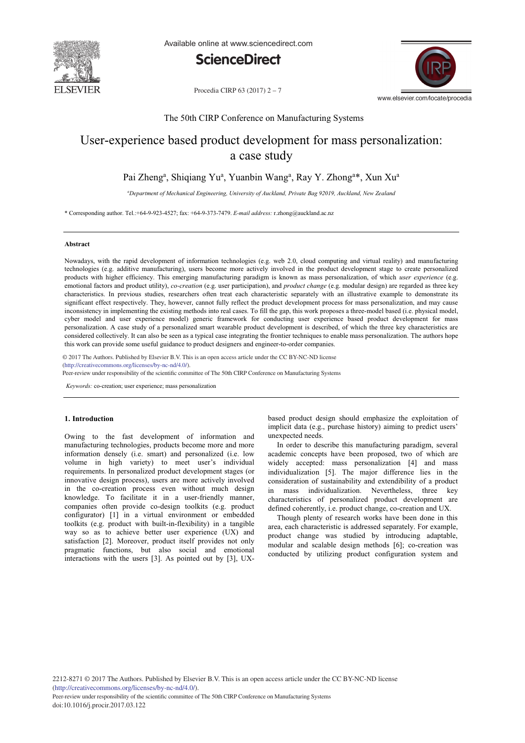

Available online at www.sciencedirect.com





Procedia CIRP 63 (2017) 2 – 7

## The 50th CIRP Conference on Manufacturing Systems

# User-experience based product development for mass personalization: a case study

# Pai Zheng<sup>a</sup>, Shiqiang Yu<sup>a</sup>, Yuanbin Wang<sup>a</sup>, Ray Y. Zhong<sup>a\*</sup>, Xun Xu<sup>a</sup>

*a Department of Mechanical Engineering, University of Auckland, Private Bag 92019, Auckland, New Zealand*

\* Corresponding author. Tel.:+64-9-923-4527; fax: +64-9-373-7479. *E-mail address:* r.zhong@auckland.ac.nz

#### **Abstract**

Nowadays, with the rapid development of information technologies (e.g. web 2.0, cloud computing and virtual reality) and manufacturing technologies (e.g. additive manufacturing), users become more actively involved in the product development stage to create personalized products with higher efficiency. This emerging manufacturing paradigm is known as mass personalization, of which *user experience* (e.g. emotional factors and product utility), *co-creation* (e.g. user participation), and *product change* (e.g. modular design) are regarded as three key characteristics. In previous studies, researchers often treat each characteristic separately with an illustrative example to demonstrate its significant effect respectively. They, however, cannot fully reflect the product development process for mass personalization, and may cause inconsistency in implementing the existing methods into real cases. To fill the gap, this work proposes a three-model based (i.e. physical model, cyber model and user experience model) generic framework for conducting user experience based product development for mass personalization. A case study of a personalized smart wearable product development is described, of which the three key characteristics are considered collectively. It can also be seen as a typical case integrating the frontier techniques to enable mass personalization. The authors hope this work can provide some useful guidance to product designers and engineer-to-order companies.

© 2017 The Authors. Published by Elsevier B.V. (http://creativecommons.org/licenses/by-nc-nd/4.0/). © 2017 The Authors. Published by Elsevier B.V. This is an open access article under the CC BY-NC-ND license

Peer-review under responsibility of the scientific committee of The 50th CIRP Conference on Manufacturing Systems

*Keywords:* co-creation; user experience; mass personalization

#### **1. Introduction**

Owing to the fast development of information and manufacturing technologies, products become more and more information densely (i.e. smart) and personalized (i.e. low volume in high variety) to meet user's individual requirements. In personalized product development stages (or innovative design process), users are more actively involved in the co-creation process even without much design knowledge. To facilitate it in a user-friendly manner, companies often provide co-design toolkits (e.g. product configurator) [1] in a virtual environment or embedded toolkits (e.g. product with built-in-flexibility) in a tangible way so as to achieve better user experience (UX) and satisfaction [2]. Moreover, product itself provides not only pragmatic functions, but also social and emotional interactions with the users [3]. As pointed out by [3], UX- based product design should emphasize the exploitation of implicit data (e.g., purchase history) aiming to predict users' unexpected needs.

In order to describe this manufacturing paradigm, several academic concepts have been proposed, two of which are widely accepted: mass personalization [4] and mass individualization [5]. The major difference lies in the consideration of sustainability and extendibility of a product in mass individualization. Nevertheless, three key characteristics of personalized product development are defined coherently, i.e. product change, co-creation and UX.

Though plenty of research works have been done in this area, each characteristic is addressed separately. For example, product change was studied by introducing adaptable, modular and scalable design methods [6]; co-creation was conducted by utilizing product configuration system and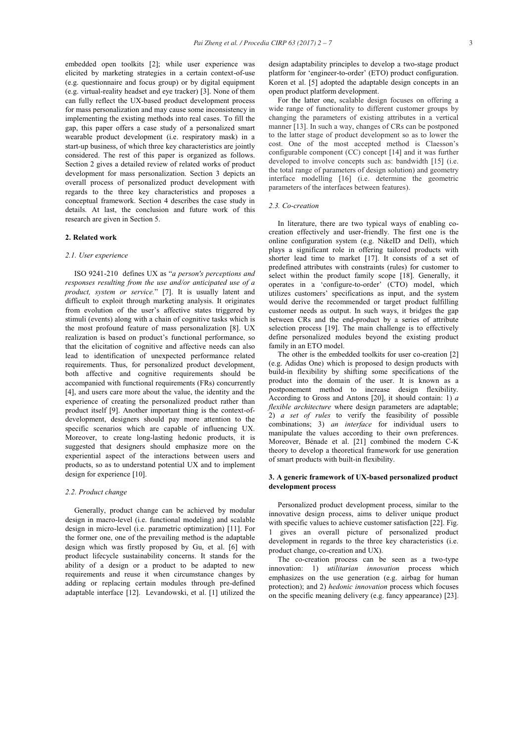embedded open toolkits [2]; while user experience was elicited by marketing strategies in a certain context-of-use (e.g. questionnaire and focus group) or by digital equipment (e.g. virtual-reality headset and eye tracker) [3]. None of them can fully reflect the UX-based product development process for mass personalization and may cause some inconsistency in implementing the existing methods into real cases. To fill the gap, this paper offers a case study of a personalized smart wearable product development (i.e. respiratory mask) in a start-up business, of which three key characteristics are jointly considered. The rest of this paper is organized as follows. Section 2 gives a detailed review of related works of product development for mass personalization. Section 3 depicts an overall process of personalized product development with regards to the three key characteristics and proposes a conceptual framework. Section 4 describes the case study in details. At last, the conclusion and future work of this research are given in Section 5.

#### **2. Related work**

#### *2.1. User experience*

ISO 9241-210 defines UX as "*a person's perceptions and responses resulting from the use and/or anticipated use of a product, system or service.*" [7]. It is usually latent and difficult to exploit through marketing analysis. It originates from evolution of the user's affective states triggered by stimuli (events) along with a chain of cognitive tasks which is the most profound feature of mass personalization [8]. UX realization is based on product's functional performance, so that the elicitation of cognitive and affective needs can also lead to identification of unexpected performance related requirements. Thus, for personalized product development, both affective and cognitive requirements should be accompanied with functional requirements (FRs) concurrently [4], and users care more about the value, the identity and the experience of creating the personalized product rather than product itself [9]. Another important thing is the context-ofdevelopment, designers should pay more attention to the specific scenarios which are capable of influencing UX. Moreover, to create long-lasting hedonic products, it is suggested that designers should emphasize more on the experiential aspect of the interactions between users and products, so as to understand potential UX and to implement design for experience [10].

#### *2.2. Product change*

Generally, product change can be achieved by modular design in macro-level (i.e. functional modeling) and scalable design in micro-level (i.e. parametric optimization) [11]. For the former one, one of the prevailing method is the adaptable design which was firstly proposed by Gu, et al. [6] with product lifecycle sustainability concerns. It stands for the ability of a design or a product to be adapted to new requirements and reuse it when circumstance changes by adding or replacing certain modules through pre-defined adaptable interface [12]. Levandowski, et al. [1] utilized the design adaptability principles to develop a two-stage product platform for 'engineer-to-order' (ETO) product configuration. Koren et al. [5] adopted the adaptable design concepts in an open product platform development.

For the latter one, scalable design focuses on offering a wide range of functionality to different customer groups by changing the parameters of existing attributes in a vertical manner [13]. In such a way, changes of CRs can be postponed to the latter stage of product development so as to lower the cost. One of the most accepted method is Claesson's configurable component (CC) concept [14] and it was further developed to involve concepts such as: bandwidth [15] (i.e. the total range of parameters of design solution) and geometry interface modelling [16] (i.e. determine the geometric parameters of the interfaces between features).

#### *2.3. Co-creation*

In literature, there are two typical ways of enabling cocreation effectively and user-friendly. The first one is the online configuration system (e.g. NikeID and Dell), which plays a significant role in offering tailored products with shorter lead time to market [17]. It consists of a set of predefined attributes with constraints (rules) for customer to select within the product family scope [18]. Generally, it operates in a 'configure-to-order' (CTO) model, which utilizes customers' specifications as input, and the system would derive the recommended or target product fulfilling customer needs as output. In such ways, it bridges the gap between CRs and the end-product by a series of attribute selection process [19]. The main challenge is to effectively define personalized modules beyond the existing product family in an ETO model.

The other is the embedded toolkits for user co-creation [2] (e.g. Adidas One) which is proposed to design products with build-in flexibility by shifting some specifications of the product into the domain of the user. It is known as a postponement method to increase design flexibility. According to Gross and Antons [20], it should contain: 1) *a flexible architecture* where design parameters are adaptable; 2) *a set of rules* to verify the feasibility of possible combinations; 3) *an interface* for individual users to manipulate the values according to their own preferences. Moreover, Bénade et al. [21] combined the modern C-K theory to develop a theoretical framework for use generation of smart products with built-in flexibility.

#### **3. A generic framework of UX-based personalized product development process**

Personalized product development process, similar to the innovative design process, aims to deliver unique product with specific values to achieve customer satisfaction [22]. Fig. 1 gives an overall picture of personalized product development in regards to the three key characteristics (i.e. product change, co-creation and UX).

The co-creation process can be seen as a two-type innovation: 1) *utilitarian innovation* process which emphasizes on the use generation (e.g. airbag for human protection); and 2) *hedonic innovation* process which focuses on the specific meaning delivery (e.g. fancy appearance) [23].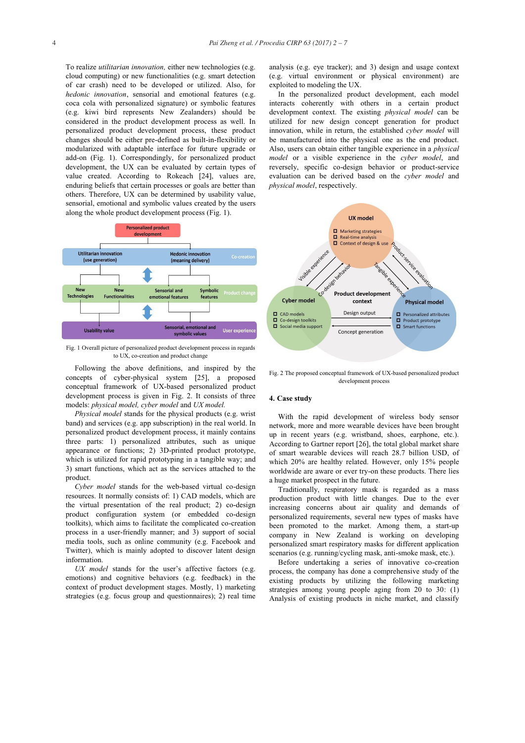To realize *utilitarian innovation,* either new technologies (e.g. cloud computing) or new functionalities (e.g. smart detection of car crash) need to be developed or utilized. Also, for *hedonic innovation*, sensorial and emotional features (e.g. coca cola with personalized signature) or symbolic features (e.g. kiwi bird represents New Zealanders) should be considered in the product development process as well. In personalized product development process, these product changes should be either pre-defined as built-in-flexibility or modularized with adaptable interface for future upgrade or add-on (Fig. 1). Correspondingly, for personalized product development, the UX can be evaluated by certain types of value created. According to Rokeach [24], values are, enduring beliefs that certain processes or goals are better than others. Therefore, UX can be determined by usability value, sensorial, emotional and symbolic values created by the users along the whole product development process (Fig. 1).



Fig. 1 Overall picture of personalized product development process in regards to UX, co-creation and product change

Following the above definitions, and inspired by the concepts of cyber-physical system [25], a proposed conceptual framework of UX-based personalized product development process is given in Fig. 2. It consists of three models: *physical model, cyber model* and *UX model.*

*Physical model* stands for the physical products (e.g. wrist band) and services (e.g. app subscription) in the real world. In personalized product development process, it mainly contains three parts: 1) personalized attributes, such as unique appearance or functions; 2) 3D-printed product prototype, which is utilized for rapid prototyping in a tangible way; and 3) smart functions, which act as the services attached to the product.

*Cyber model* stands for the web-based virtual co-design resources. It normally consists of: 1) CAD models, which are the virtual presentation of the real product; 2) co-design product configuration system (or embedded co-design toolkits), which aims to facilitate the complicated co-creation process in a user-friendly manner; and 3) support of social media tools, such as online community (e.g. Facebook and Twitter), which is mainly adopted to discover latent design information.

*UX model* stands for the user's affective factors (e.g. emotions) and cognitive behaviors (e.g. feedback) in the context of product development stages. Mostly, 1) marketing strategies (e.g. focus group and questionnaires); 2) real time analysis (e.g. eye tracker); and 3) design and usage context (e.g. virtual environment or physical environment) are exploited to modeling the UX.

In the personalized product development, each model interacts coherently with others in a certain product development context. The existing *physical model* can be utilized for new design concept generation for product innovation, while in return, the established *cyber model* will be manufactured into the physical one as the end product. Also, users can obtain either tangible experience in a *physical model* or a visible experience in the *cyber model*, and reversely, specific co-design behavior or product-service evaluation can be derived based on the *cyber model* and *physical model*, respectively.



Fig. 2 The proposed conceptual framework of UX-based personalized product development process

#### **4. Case study**

With the rapid development of wireless body sensor network, more and more wearable devices have been brought up in recent years (e.g. wristband, shoes, earphone, etc.). According to Gartner report [26], the total global market share of smart wearable devices will reach 28.7 billion USD, of which 20% are healthy related. However, only 15% people worldwide are aware or ever try-on these products. There lies a huge market prospect in the future.

Traditionally, respiratory mask is regarded as a mass production product with little changes. Due to the ever increasing concerns about air quality and demands of personalized requirements, several new types of masks have been promoted to the market. Among them, a start-up company in New Zealand is working on developing personalized smart respiratory masks for different application scenarios (e.g. running/cycling mask, anti-smoke mask, etc.).

Before undertaking a series of innovative co-creation process, the company has done a comprehensive study of the existing products by utilizing the following marketing strategies among young people aging from 20 to 30: (1) Analysis of existing products in niche market, and classify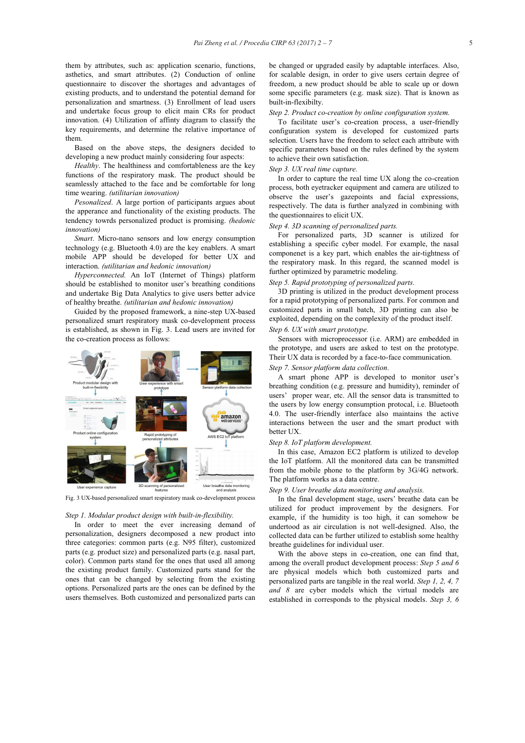them by attributes, such as: application scenario, functions, asthetics, and smart attributes. (2) Conduction of online questionnaire to discover the shortages and advantages of existing products, and to understand the potential demand for personalization and smartness. (3) Enrollment of lead users and undertake focus group to elicit main CRs for product innovation. (4) Utilization of affinty diagram to classify the key requirements, and determine the relative importance of them.

Based on the above steps, the designers decided to developing a new product mainly considering four aspects:

*Healthy*. The healthiness and comfortableness are the key functions of the respiratory mask. The product should be seamlessly attached to the face and be comfortable for long time wearing. *(utilitarian innovation)*

*Pesonalized*. A large portion of participants argues about the apperance and functionality of the existing products. The tendency towrds personalized product is promising. *(hedonic innovation)*

*Smart*. Micro-nano sensors and low energy consumption technology (e.g. Bluetooth 4.0) are the key enablers. A smart mobile APP should be developed for better UX and interaction. *(utilitarian and hedonic innovation)*

*Hyperconnected.* An IoT (Internet of Things) platform should be established to monitor user's breathing conditions and undertake Big Data Analytics to give users better advice of healthy breathe. *(utilitarian and hedonic innovation)*

Guided by the proposed framework, a nine-step UX-based personalized smart respiratory mask co-development process is established, as shown in Fig. 3. Lead users are invited for the co-creation process as follows:



Fig. 3 UX-based personalized smart respiratory mask co-development process

## *Step 1. Modular product design with built-in-flexibility.*

In order to meet the ever increasing demand of personalization, designers decomposed a new product into three categories: common parts (e.g. N95 filter), customized parts (e.g. product size) and personalized parts (e.g. nasal part, color). Common parts stand for the ones that used all among the existing product family. Customized parts stand for the ones that can be changed by selecting from the existing options. Personalized parts are the ones can be defined by the users themselves. Both customized and personalized parts can be changed or upgraded easily by adaptable interfaces. Also, for scalable design, in order to give users certain degree of freedom, a new product should be able to scale up or down some specific parameters (e.g. mask size). That is known as built-in-flexibilty.

#### *Step 2. Product co-creation by online configuration system.*

To facilitate user's co-creation process, a user-friendly configuration system is developed for customized parts selection. Users have the freedom to select each attribute with specific parameters based on the rules defined by the system to achieve their own satisfaction.

## *Step 3. UX real time capture.*

In order to capture the real time UX along the co-creation process, both eyetracker equipment and camera are utilized to observe the user's gazepoints and facial expressions, respectively. The data is further analyzed in combining with the questionnaires to elicit UX.

## *Step 4. 3D scanning of personalized parts.*

For personalized parts, 3D scanner is utilized for establishing a specific cyber model. For example, the nasal componenet is a key part, which enables the air-tightness of the respiratory mask. In this regard, the scanned model is further optimized by parametric modeling.

#### *Step 5. Rapid prototyping of personalized parts.*

3D printing is utilized in the product development process for a rapid prototyping of personalized parts. For common and customized parts in small batch, 3D printing can also be exploited, depending on the complexity of the product itself. *Step 6. UX with smart prototype.* 

Sensors with microprocessor (i.e. ARM) are embedded in the prototype, and users are asked to test on the prototype. Their UX data is recorded by a face-to-face communication.

#### *Step 7. Sensor platform data collection.*

A smart phone APP is developed to monitor user's breathing condition (e.g. pressure and humidity), reminder of users' proper wear, etc. All the sensor data is transmitted to the users by low energy consumption protocal, i.e. Bluetooth 4.0. The user-friendly interface also maintains the active interactions between the user and the smart product with better UX.

#### *Step 8. IoT platform development.*

In this case, Amazon EC2 platform is utilized to develop the IoT platform. All the monitored data can be transmitted from the mobile phone to the platform by 3G/4G network. The platform works as a data centre.

#### *Step 9. User breathe data monitoring and analysis.*

In the final development stage, users' breathe data can be utilized for product improvement by the designers. For example, if the humidity is too high, it can somehow be undertood as air circulation is not well-designed. Also, the collected data can be further utilized to establish some healthy breathe guidelines for individual user.

With the above steps in co-creation, one can find that, among the overall product development process: *Step 5 and 6* are physical models which both customized parts and personalized parts are tangible in the real world. *Step 1, 2, 4, 7 and 8* are cyber models which the virtual models are established in corresponds to the physical models. *Step 3, 6*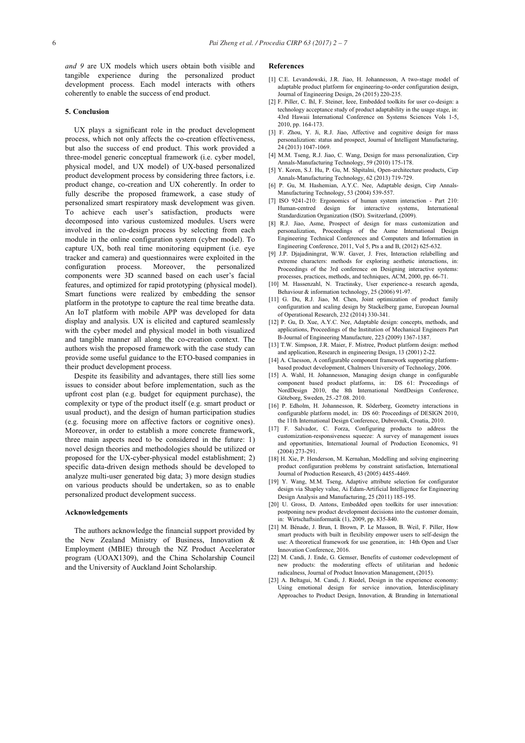*and 9* are UX models which users obtain both visible and tangible experience during the personalized product development process. Each model interacts with others coherently to enable the success of end product.

#### **5. Conclusion**

UX plays a significant role in the product development process, which not only affects the co-creation effectiveness, but also the success of end product. This work provided a three-model generic conceptual framework (i.e. cyber model, physical model, and UX model) of UX-based personalized product development process by considering three factors, i.e. product change, co-creation and UX coherently. In order to fully describe the proposed framework, a case study of personalized smart respiratory mask development was given. To achieve each user's satisfaction, products were decomposed into various customized modules. Users were involved in the co-design process by selecting from each module in the online configuration system (cyber model). To capture UX, both real time monitoring equipment (i.e. eye tracker and camera) and questionnaires were exploited in the configuration process. Moreover, the personalized components were 3D scanned based on each user's facial features, and optimized for rapid prototyping (physical model). Smart functions were realized by embedding the sensor platform in the prototype to capture the real time breathe data. An IoT platform with mobile APP was developed for data display and analysis. UX is elicited and captured seamlessly with the cyber model and physical model in both visualized and tangible manner all along the co-creation context. The authors wish the proposed framework with the case study can provide some useful guidance to the ETO-based companies in their product development process.

Despite its feasibility and advantages, there still lies some issues to consider about before implementation, such as the upfront cost plan (e.g. budget for equipment purchase), the complexity or type of the product itself (e.g. smart product or usual product), and the design of human participation studies (e.g. focusing more on affective factors or cognitive ones). Moreover, in order to establish a more concrete framework, three main aspects need to be considered in the future: 1) novel design theories and methodologies should be utilized or proposed for the UX-cyber-physical model establishment; 2) specific data-driven design methods should be developed to analyze multi-user generated big data; 3) more design studies on various products should be undertaken, so as to enable personalized product development success.

#### **Acknowledgements**

The authors acknowledge the financial support provided by the New Zealand Ministry of Business, Innovation & Employment (MBIE) through the NZ Product Accelerator program (UOAX1309), and the China Scholarship Council and the University of Auckland Joint Scholarship.

#### **References**

- [1] C.E. Levandowski, J.R. Jiao, H. Johannesson, A two-stage model of adaptable product platform for engineering-to-order configuration design, Journal of Engineering Design, 26 (2015) 220-235.
- [2] F. Piller, C. Ihl, F. Steiner, Ieee, Embedded toolkits for user co-design: a technology acceptance study of product adaptability in the usage stage, in: 43rd Hawaii International Conference on Systems Sciences Vols 1-5, 2010, pp. 164-173.
- [3] F. Zhou, Y. Ji, R.J. Jiao, Affective and cognitive design for mass personalization: status and prospect, Journal of Intelligent Manufacturing, 24 (2013) 1047-1069.
- [4] M.M. Tseng, R.J. Jiao, C. Wang, Design for mass personalization, Cirp Annals-Manufacturing Technology, 59 (2010) 175-178.
- [5] Y. Koren, S.J. Hu, P. Gu, M. Shpitalni, Open-architecture products, Cirp Annals-Manufacturing Technology, 62 (2013) 719-729.
- [6] P. Gu, M. Hashemian, A.Y.C. Nee, Adaptable design, Cirp Annals-Manufacturing Technology, 53 (2004) 539-557.
- [7] ISO 9241-210: Ergonomics of human system interaction Part 210: Human-centred design for interactive systems, International Standardization Organization (ISO). Switzerland, (2009).
- [8] R.J. Jiao, Asme, Prospect of design for mass customization and personalization, Proceedings of the Asme International Design Engineering Technical Conferences and Computers and Information in Engineering Conference, 2011, Vol 5, Pts a and B, (2012) 625-632.
- [9] J.P. Djajadiningrat, W.W. Gaver, J. Fres, Interaction relabelling and extreme characters: methods for exploring aesthetic interactions, in: Proceedings of the 3rd conference on Designing interactive systems: processes, practices, methods, and techniques, ACM, 2000, pp. 66-71.
- [10] M. Hassenzahl, N. Tractinsky, User experience-a research agenda, Behaviour & information technology, 25 (2006) 91-97.
- [11] G. Du, R.J. Jiao, M. Chen, Joint optimization of product family configuration and scaling design by Stackelberg game, European Journal of Operational Research, 232 (2014) 330-341.
- [12] P. Gu, D. Xue, A.Y.C. Nee, Adaptable design: concepts, methods, and applications, Proceedings of the Institution of Mechanical Engineers Part B-Journal of Engineering Manufacture, 223 (2009) 1367-1387.
- [13] T.W. Simpson, J.R. Maier, F. Mistree, Product platform design: method and application, Research in engineering Design, 13 (2001) 2-22.
- [14] A. Claesson, A configurable component framework supporting platformbased product development, Chalmers University of Technology, 2006.
- [15] A. Wahl, H. Johannesson, Managing design change in configurable component based product platforms, in: DS 61: Proceedings of NordDesign 2010, the 8th International NordDesign Conference, Göteborg, Sweden, 25.-27.08. 2010.
- [16] P. Edholm, H. Johannesson, R. Söderberg, Geometry interactions in configurable platform model, in: DS 60: Proceedings of DESIGN 2010, the 11th International Design Conference, Dubrovnik, Croatia, 2010.
- [17] F. Salvador, C. Forza, Configuring products to address the customization-responsiveness squeeze: A survey of management issues and opportunities, International Journal of Production Economics, 91 (2004) 273-291.
- [18] H. Xie, P. Henderson, M. Kernahan, Modelling and solving engineering product configuration problems by constraint satisfaction, International Journal of Production Research, 43 (2005) 4455-4469.
- [19] Y. Wang, M.M. Tseng, Adaptive attribute selection for configurator design via Shapley value, Ai Edam-Artificial Intelligence for Engineering Design Analysis and Manufacturing, 25 (2011) 185-195.
- [20] U. Gross, D. Antons, Embedded open toolkits for user innovation: postponing new product development decisions into the customer domain, in: Wirtschaftsinformatik (1), 2009, pp. 835-840.
- [21] M. Bénade, J. Brun, I. Brown, P. Le Masson, B. Weil, F. Piller, How smart products with built in flexibility empower users to self-design the use: A theoretical framework for use generation, in: 14th Open and User Innovation Conference, 2016.
- [22] M. Candi, J. Ende, G. Gemser, Benefits of customer codevelopment of new products: the moderating effects of utilitarian and hedonic radicalness, Journal of Product Innovation Management, (2015).
- [23] A. Beltagui, M. Candi, J. Riedel, Design in the experience economy: Using emotional design for service innovation, Interdisciplinary Approaches to Product Design, Innovation, & Branding in International